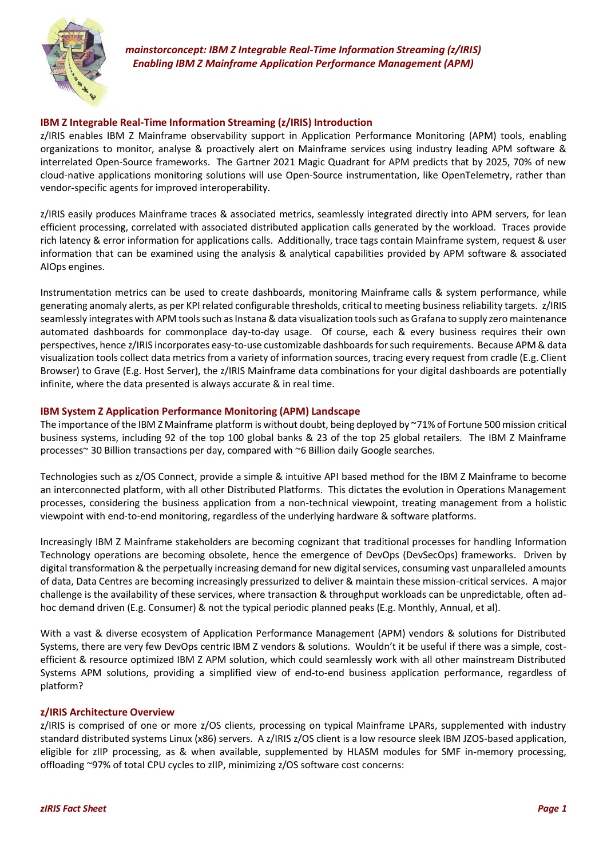

*mainstorconcept: IBM Z Integrable Real-Time Information Streaming (z/IRIS) Enabling IBM Z Mainframe Application Performance Management (APM)*

## **IBM Z Integrable Real-Time Information Streaming (z/IRIS) Introduction**

z/IRIS enables IBM Z Mainframe observability support in Application Performance Monitoring (APM) tools, enabling organizations to monitor, analyse & proactively alert on Mainframe services using industry leading APM software & interrelated Open-Source frameworks. The Gartner 2021 Magic Quadrant for APM predicts that by 2025, 70% of new cloud-native applications monitoring solutions will use Open-Source instrumentation, like OpenTelemetry, rather than vendor-specific agents for improved interoperability.

z/IRIS easily produces Mainframe traces & associated metrics, seamlessly integrated directly into APM servers, for lean efficient processing, correlated with associated distributed application calls generated by the workload. Traces provide rich latency & error information for applications calls. Additionally, trace tags contain Mainframe system, request & user information that can be examined using the analysis & analytical capabilities provided by APM software & associated AIOps engines.

Instrumentation metrics can be used to create dashboards, monitoring Mainframe calls & system performance, while generating anomaly alerts, as per KPI related configurable thresholds, critical to meeting business reliability targets. z/IRIS seamlessly integrates with APM tools such as Instana & data visualization tools such as Grafana to supply zero maintenance automated dashboards for commonplace day-to-day usage. Of course, each & every business requires their own perspectives, hence z/IRIS incorporates easy-to-use customizable dashboards for such requirements. Because APM & data visualization tools collect data metrics from a variety of information sources, tracing every request from cradle (E.g. Client Browser) to Grave (E.g. Host Server), the z/IRIS Mainframe data combinations for your digital dashboards are potentially infinite, where the data presented is always accurate & in real time.

## **IBM System Z Application Performance Monitoring (APM) Landscape**

The importance of the IBM Z Mainframe platform is without doubt, being deployed by ~71% of Fortune 500 mission critical business systems, including 92 of the top 100 global banks & 23 of the top 25 global retailers. The IBM Z Mainframe processes~ 30 Billion transactions per day, compared with ~6 Billion daily Google searches.

Technologies such as z/OS Connect, provide a simple & intuitive API based method for the IBM Z Mainframe to become an interconnected platform, with all other Distributed Platforms. This dictates the evolution in Operations Management processes, considering the business application from a non-technical viewpoint, treating management from a holistic viewpoint with end-to-end monitoring, regardless of the underlying hardware & software platforms.

Increasingly IBM Z Mainframe stakeholders are becoming cognizant that traditional processes for handling Information Technology operations are becoming obsolete, hence the emergence of DevOps (DevSecOps) frameworks. Driven by digital transformation & the perpetually increasing demand for new digital services, consuming vast unparalleled amounts of data, Data Centres are becoming increasingly pressurized to deliver & maintain these mission-critical services. A major challenge is the availability of these services, where transaction & throughput workloads can be unpredictable, often adhoc demand driven (E.g. Consumer) & not the typical periodic planned peaks (E.g. Monthly, Annual, et al).

With a vast & diverse ecosystem of Application Performance Management (APM) vendors & solutions for Distributed Systems, there are very few DevOps centric IBM Z vendors & solutions. Wouldn't it be useful if there was a simple, costefficient & resource optimized IBM Z APM solution, which could seamlessly work with all other mainstream Distributed Systems APM solutions, providing a simplified view of end-to-end business application performance, regardless of platform?

## **z/IRIS Architecture Overview**

z/IRIS is comprised of one or more z/OS clients, processing on typical Mainframe LPARs, supplemented with industry standard distributed systems Linux (x86) servers. A z/IRIS z/OS client is a low resource sleek IBM JZOS-based application, eligible for zIIP processing, as & when available, supplemented by HLASM modules for SMF in-memory processing, offloading ~97% of total CPU cycles to zIIP, minimizing z/OS software cost concerns: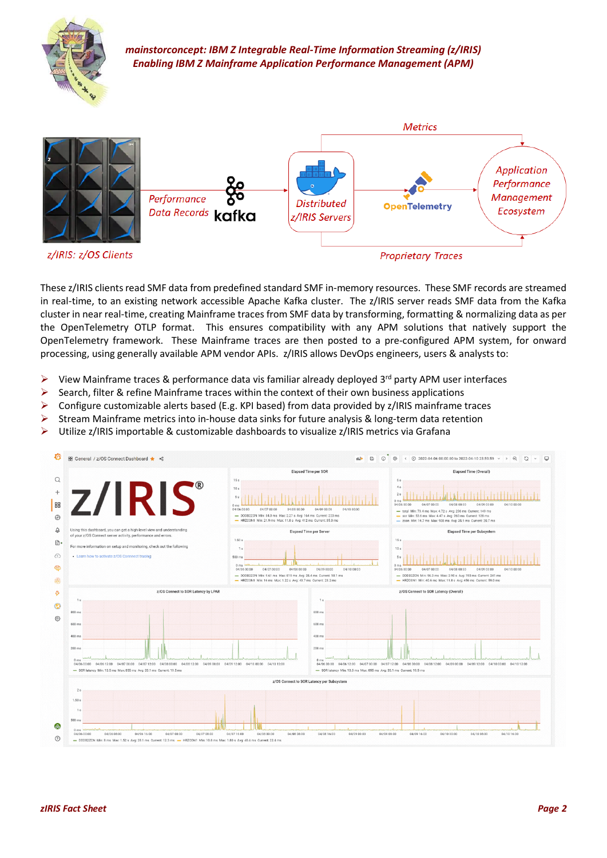

*mainstorconcept: IBM Z Integrable Real-Time Information Streaming (z/IRIS) Enabling IBM Z Mainframe Application Performance Management (APM)*



These z/IRIS clients read SMF data from predefined standard SMF in-memory resources. These SMF records are streamed in real-time, to an existing network accessible Apache Kafka cluster. The z/IRIS server reads SMF data from the Kafka cluster in near real-time, creating Mainframe traces from SMF data by transforming, formatting & normalizing data as per the OpenTelemetry OTLP format. This ensures compatibility with any APM solutions that natively support the OpenTelemetry framework. These Mainframe traces are then posted to a pre-configured APM system, for onward processing, using generally available APM vendor APIs. z/IRIS allows DevOps engineers, users & analysts to:

- $\triangleright$  View Mainframe traces & performance data vis familiar already deployed 3<sup>rd</sup> party APM user interfaces
- $\triangleright$  Search, filter & refine Mainframe traces within the context of their own business applications
- $\triangleright$  Configure customizable alerts based (E.g. KPI based) from data provided by z/IRIS mainframe traces
- $\triangleright$  Stream Mainframe metrics into in-house data sinks for future analysis & long-term data retention
- ➢ Utilize z/IRIS importable & customizable dashboards to visualize z/IRIS metrics via Grafana